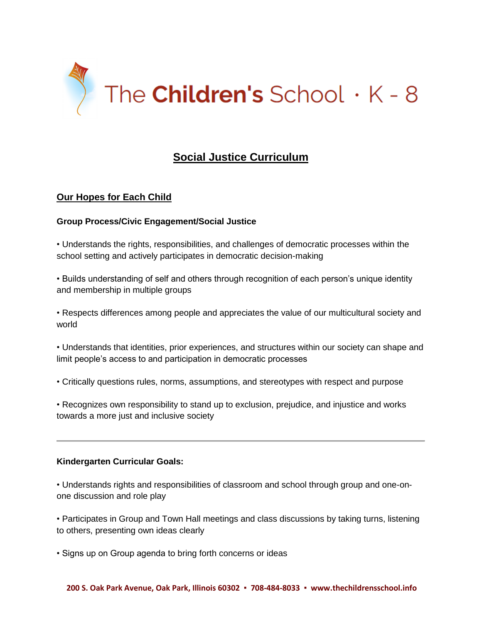

# **Social Justice Curriculum**

# **Our Hopes for Each Child**

# **Group Process/Civic Engagement/Social Justice**

• Understands the rights, responsibilities, and challenges of democratic processes within the school setting and actively participates in democratic decision-making

• Builds understanding of self and others through recognition of each person's unique identity and membership in multiple groups

• Respects differences among people and appreciates the value of our multicultural society and world

• Understands that identities, prior experiences, and structures within our society can shape and limit people's access to and participation in democratic processes

• Critically questions rules, norms, assumptions, and stereotypes with respect and purpose

• Recognizes own responsibility to stand up to exclusion, prejudice, and injustice and works towards a more just and inclusive society

#### **Kindergarten Curricular Goals:**

• Understands rights and responsibilities of classroom and school through group and one-onone discussion and role play

• Participates in Group and Town Hall meetings and class discussions by taking turns, listening to others, presenting own ideas clearly

• Signs up on Group agenda to bring forth concerns or ideas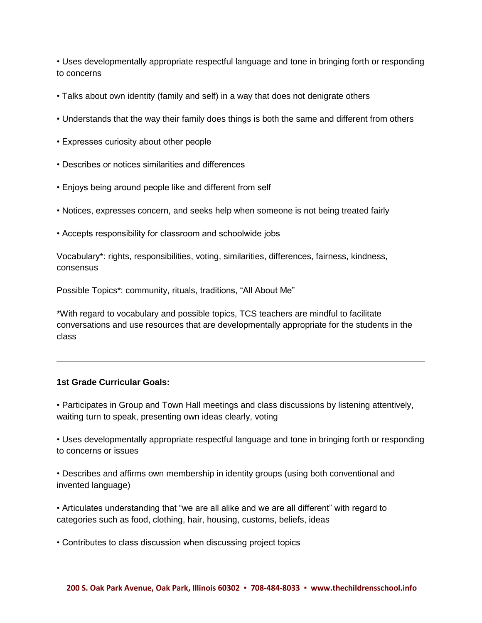• Uses developmentally appropriate respectful language and tone in bringing forth or responding to concerns

- Talks about own identity (family and self) in a way that does not denigrate others
- Understands that the way their family does things is both the same and different from others
- Expresses curiosity about other people
- Describes or notices similarities and differences
- Enjoys being around people like and different from self
- Notices, expresses concern, and seeks help when someone is not being treated fairly
- Accepts responsibility for classroom and schoolwide jobs

Vocabulary\*: rights, responsibilities, voting, similarities, differences, fairness, kindness, consensus

Possible Topics\*: community, rituals, traditions, "All About Me"

\*With regard to vocabulary and possible topics, TCS teachers are mindful to facilitate conversations and use resources that are developmentally appropriate for the students in the class

#### **1st Grade Curricular Goals:**

• Participates in Group and Town Hall meetings and class discussions by listening attentively, waiting turn to speak, presenting own ideas clearly, voting

• Uses developmentally appropriate respectful language and tone in bringing forth or responding to concerns or issues

• Describes and affirms own membership in identity groups (using both conventional and invented language)

• Articulates understanding that "we are all alike and we are all different" with regard to categories such as food, clothing, hair, housing, customs, beliefs, ideas

• Contributes to class discussion when discussing project topics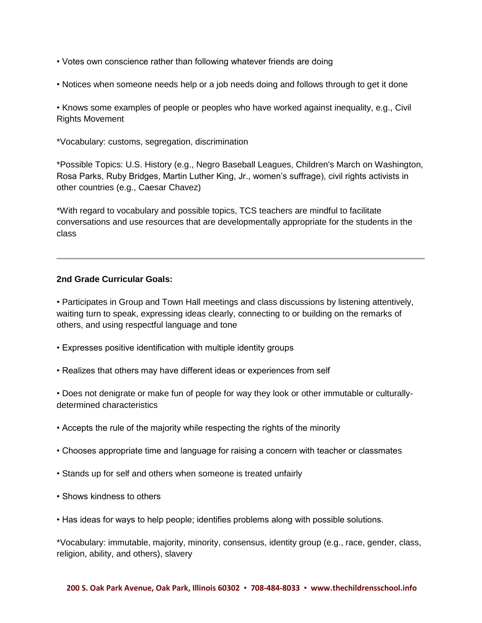- Votes own conscience rather than following whatever friends are doing
- Notices when someone needs help or a job needs doing and follows through to get it done

• Knows some examples of people or peoples who have worked against inequality, e.g., Civil Rights Movement

\*Vocabulary: customs, segregation, discrimination

\*Possible Topics: U.S. History (e.g., Negro Baseball Leagues, Children's March on Washington, Rosa Parks, Ruby Bridges, Martin Luther King, Jr., women's suffrage), civil rights activists in other countries (e.g., Caesar Chavez)

\*With regard to vocabulary and possible topics, TCS teachers are mindful to facilitate conversations and use resources that are developmentally appropriate for the students in the class

#### **2nd Grade Curricular Goals:**

• Participates in Group and Town Hall meetings and class discussions by listening attentively, waiting turn to speak, expressing ideas clearly, connecting to or building on the remarks of others, and using respectful language and tone

- Expresses positive identification with multiple identity groups
- Realizes that others may have different ideas or experiences from self

• Does not denigrate or make fun of people for way they look or other immutable or culturallydetermined characteristics

- Accepts the rule of the majority while respecting the rights of the minority
- Chooses appropriate time and language for raising a concern with teacher or classmates
- Stands up for self and others when someone is treated unfairly
- Shows kindness to others
- Has ideas for ways to help people; identifies problems along with possible solutions.

\*Vocabulary: immutable, majority, minority, consensus, identity group (e.g., race, gender, class, religion, ability, and others), slavery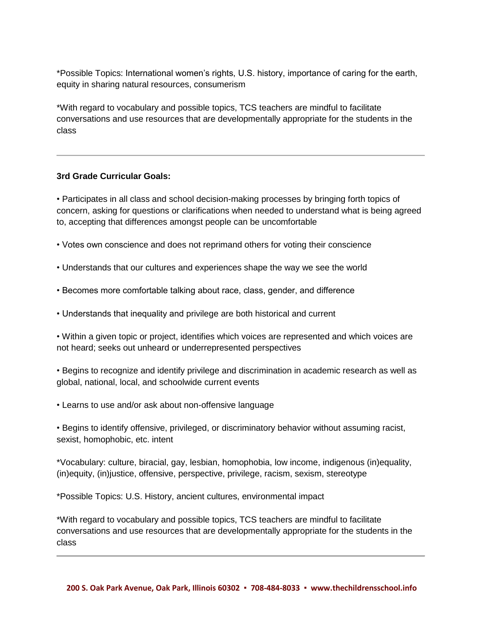\*Possible Topics: International women's rights, U.S. history, importance of caring for the earth, equity in sharing natural resources, consumerism

\*With regard to vocabulary and possible topics, TCS teachers are mindful to facilitate conversations and use resources that are developmentally appropriate for the students in the class

# **3rd Grade Curricular Goals:**

• Participates in all class and school decision-making processes by bringing forth topics of concern, asking for questions or clarifications when needed to understand what is being agreed to, accepting that differences amongst people can be uncomfortable

- Votes own conscience and does not reprimand others for voting their conscience
- Understands that our cultures and experiences shape the way we see the world
- Becomes more comfortable talking about race, class, gender, and difference
- Understands that inequality and privilege are both historical and current

• Within a given topic or project, identifies which voices are represented and which voices are not heard; seeks out unheard or underrepresented perspectives

• Begins to recognize and identify privilege and discrimination in academic research as well as global, national, local, and schoolwide current events

• Learns to use and/or ask about non-offensive language

• Begins to identify offensive, privileged, or discriminatory behavior without assuming racist, sexist, homophobic, etc. intent

\*Vocabulary: culture, biracial, gay, lesbian, homophobia, low income, indigenous (in)equality, (in)equity, (in)justice, offensive, perspective, privilege, racism, sexism, stereotype

\*Possible Topics: U.S. History, ancient cultures, environmental impact

\*With regard to vocabulary and possible topics, TCS teachers are mindful to facilitate conversations and use resources that are developmentally appropriate for the students in the class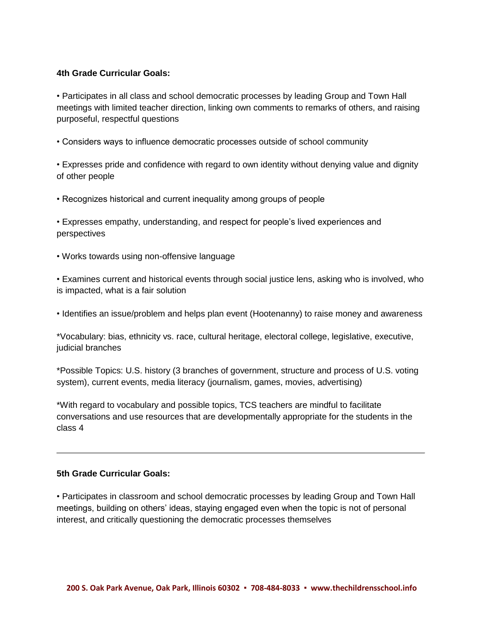### **4th Grade Curricular Goals:**

• Participates in all class and school democratic processes by leading Group and Town Hall meetings with limited teacher direction, linking own comments to remarks of others, and raising purposeful, respectful questions

• Considers ways to influence democratic processes outside of school community

• Expresses pride and confidence with regard to own identity without denying value and dignity of other people

• Recognizes historical and current inequality among groups of people

• Expresses empathy, understanding, and respect for people's lived experiences and perspectives

• Works towards using non-offensive language

• Examines current and historical events through social justice lens, asking who is involved, who is impacted, what is a fair solution

• Identifies an issue/problem and helps plan event (Hootenanny) to raise money and awareness

\*Vocabulary: bias, ethnicity vs. race, cultural heritage, electoral college, legislative, executive, judicial branches

\*Possible Topics: U.S. history (3 branches of government, structure and process of U.S. voting system), current events, media literacy (journalism, games, movies, advertising)

\*With regard to vocabulary and possible topics, TCS teachers are mindful to facilitate conversations and use resources that are developmentally appropriate for the students in the class 4

#### **5th Grade Curricular Goals:**

• Participates in classroom and school democratic processes by leading Group and Town Hall meetings, building on others' ideas, staying engaged even when the topic is not of personal interest, and critically questioning the democratic processes themselves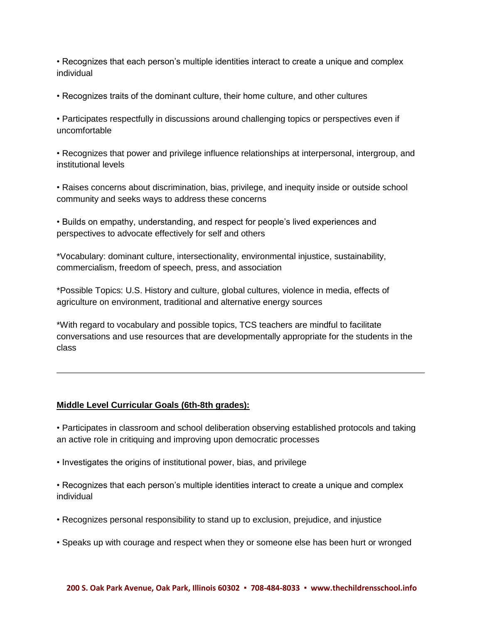• Recognizes that each person's multiple identities interact to create a unique and complex individual

• Recognizes traits of the dominant culture, their home culture, and other cultures

• Participates respectfully in discussions around challenging topics or perspectives even if uncomfortable

• Recognizes that power and privilege influence relationships at interpersonal, intergroup, and institutional levels

• Raises concerns about discrimination, bias, privilege, and inequity inside or outside school community and seeks ways to address these concerns

• Builds on empathy, understanding, and respect for people's lived experiences and perspectives to advocate effectively for self and others

\*Vocabulary: dominant culture, intersectionality, environmental injustice, sustainability, commercialism, freedom of speech, press, and association

\*Possible Topics: U.S. History and culture, global cultures, violence in media, effects of agriculture on environment, traditional and alternative energy sources

\*With regard to vocabulary and possible topics, TCS teachers are mindful to facilitate conversations and use resources that are developmentally appropriate for the students in the class

# **Middle Level Curricular Goals (6th-8th grades):**

• Participates in classroom and school deliberation observing established protocols and taking an active role in critiquing and improving upon democratic processes

• Investigates the origins of institutional power, bias, and privilege

• Recognizes that each person's multiple identities interact to create a unique and complex individual

- Recognizes personal responsibility to stand up to exclusion, prejudice, and injustice
- Speaks up with courage and respect when they or someone else has been hurt or wronged